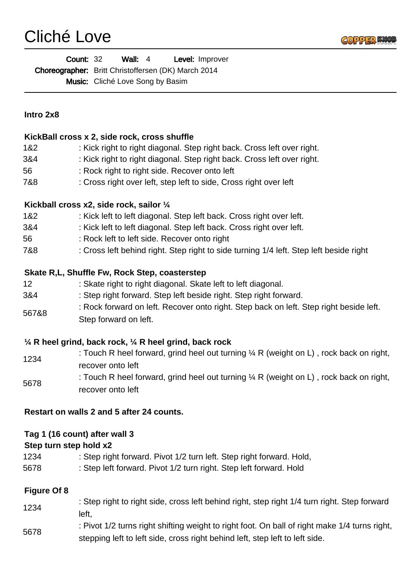

|           | <b>Count: 32</b><br>Wall: 4<br>Level: Improver                                                                         |
|-----------|------------------------------------------------------------------------------------------------------------------------|
|           | Choreographer: Britt Christoffersen (DK) March 2014                                                                    |
|           | Music: Cliché Love Song by Basim                                                                                       |
| Intro 2x8 |                                                                                                                        |
|           | KickBall cross x 2, side rock, cross shuffle                                                                           |
| 1&2       | : Kick right to right diagonal. Step right back. Cross left over right.                                                |
| 3&4       | : Kick right to right diagonal. Step right back. Cross left over right.                                                |
| 56        | : Rock right to right side. Recover onto left                                                                          |
| 7&8       | : Cross right over left, step left to side, Cross right over left                                                      |
|           | Kickball cross x2, side rock, sailor 1/4                                                                               |
| 1&2       | : Kick left to left diagonal. Step left back. Cross right over left.                                                   |
| 3&4       | : Kick left to left diagonal. Step left back. Cross right over left.                                                   |
| 56        | : Rock left to left side. Recover onto right                                                                           |
| 7&8       | : Cross left behind right. Step right to side turning 1/4 left. Step left beside right                                 |
|           | Skate R,L, Shuffle Fw, Rock Step, coasterstep                                                                          |
| 12        | : Skate right to right diagonal. Skate left to left diagonal.                                                          |
| 3&4       | : Step right forward. Step left beside right. Step right forward.                                                      |
| 567&8     | : Rock forward on left. Recover onto right. Step back on left. Step right beside left.<br>Step forward on left.        |
|           | $\frac{1}{4}$ R heel grind, back rock, $\frac{1}{4}$ R heel grind, back rock                                           |
| 1234      | : Touch R heel forward, grind heel out turning $\frac{1}{4}$ R (weight on L), rock back on right,<br>recover onto left |
| 5678      | : Touch R heel forward, grind heel out turning $\frac{1}{4}$ R (weight on L), rock back on right,<br>recover onto left |
|           | Restart on walls 2 and 5 after 24 counts.                                                                              |
|           | Tag 1 (16 count) after wall 3                                                                                          |

## **Step turn step hold x2**

1234 : Step right forward. Pivot 1/2 turn left. Step right forward. Hold, 5678 : Step left forward. Pivot 1/2 turn right. Step left forward. Hold

## **Figure Of 8**

- 1234 : Step right to right side, cross left behind right, step right 1/4 turn right. Step forward left,
- 5678 : Pivot 1/2 turns right shifting weight to right foot. On ball of right make 1/4 turns right, stepping left to left side, cross right behind left, step left to left side.